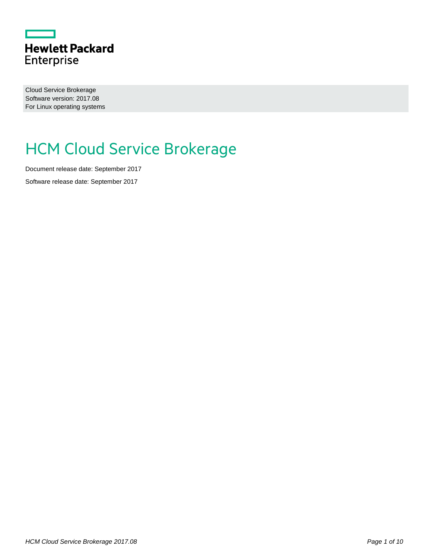

Cloud Service Brokerage Software version: 2017.08 For Linux operating systems

# HCM Cloud Service Brokerage

Document release date: September 2017

Software release date: September 2017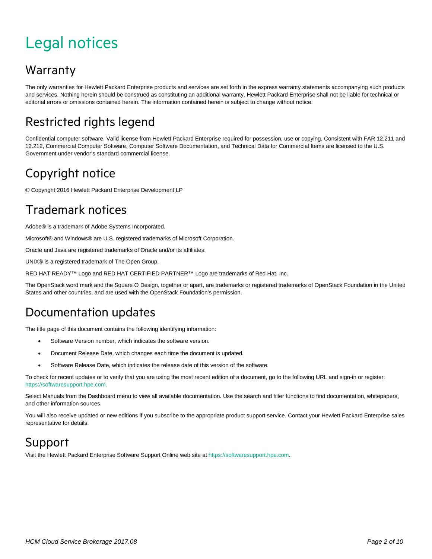# <span id="page-1-0"></span>Legal notices

#### **Warranty**

The only warranties for Hewlett Packard Enterprise products and services are set forth in the express warranty statements accompanying such products and services. Nothing herein should be construed as constituting an additional warranty. Hewlett Packard Enterprise shall not be liable for technical or editorial errors or omissions contained herein. The information contained herein is subject to change without notice.

#### Restricted rights legend

Confidential computer software. Valid license from Hewlett Packard Enterprise required for possession, use or copying. Consistent with FAR 12.211 and 12.212, Commercial Computer Software, Computer Software Documentation, and Technical Data for Commercial Items are licensed to the U.S. Government under vendor's standard commercial license.

#### Copyright notice

© Copyright 2016 Hewlett Packard Enterprise Development LP

#### Trademark notices

Adobe® is a trademark of Adobe Systems Incorporated.

Microsoft® and Windows® are U.S. registered trademarks of Microsoft Corporation.

Oracle and Java are registered trademarks of Oracle and/or its affiliates.

UNIX® is a registered trademark of The Open Group.

RED HAT READY™ Logo and RED HAT CERTIFIED PARTNER™ Logo are trademarks of Red Hat, Inc.

The OpenStack word mark and the Square O Design, together or apart, are trademarks or registered trademarks of OpenStack Foundation in the United States and other countries, and are used with the OpenStack Foundation's permission.

#### Documentation updates

The title page of this document contains the following identifying information:

- Software Version number, which indicates the software version.
- Document Release Date, which changes each time the document is updated.
- Software Release Date, which indicates the release date of this version of the software.

To check for recent updates or to verify that you are using the most recent edition of a document, go to the following URL and sign-in or register: [https://softwaresupport.hpe.com.](https://softwaresupport.hpe.com./)

Select Manuals from the Dashboard menu to view all available documentation. Use the search and filter functions to find documentation, whitepapers, and other information sources.

You will also receive updated or new editions if you subscribe to the appropriate product support service. Contact your Hewlett Packard Enterprise sales representative for details.

#### Support

Visit the Hewlett Packard Enterprise Software Support Online web site a[t https://softwaresupport.hpe.com.](https://softwaresupport.hpe.com/)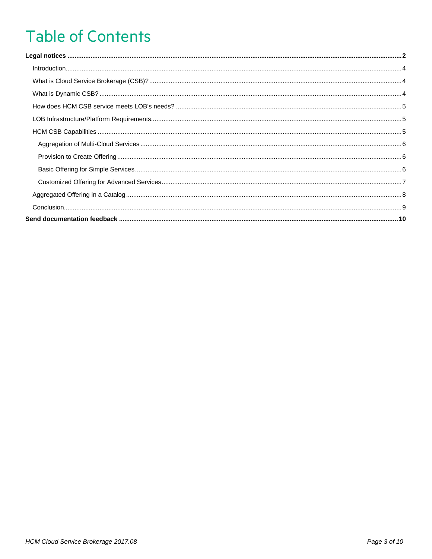# **Table of Contents**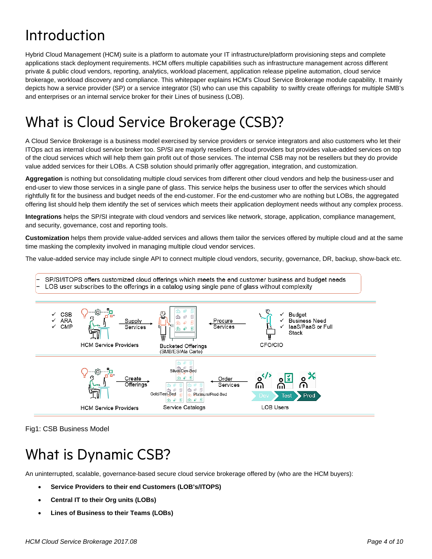## <span id="page-3-0"></span>Introduction

Hybrid Cloud Management (HCM) suite is a platform to automate your IT infrastructure/platform provisioning steps and complete applications stack deployment requirements. HCM offers multiple capabilities such as infrastructure management across different private & public cloud vendors, reporting, analytics, workload placement, application release pipeline automation, cloud service brokerage, workload discovery and compliance. This whitepaper explains HCM's Cloud Service Brokerage module capability. It mainly depicts how a service provider (SP) or a service integrator (SI) who can use this capability to swiftly create offerings for multiple SMB's and enterprises or an internal service broker for their Lines of business (LOB).

## <span id="page-3-1"></span>What is Cloud Service Brokerage (CSB)?

A Cloud Service Brokerage is a business model exercised by service providers or service integrators and also customers who let their ITOps act as internal cloud service broker too. SP/SI are majorly resellers of cloud providers but provides value-added services on top of the cloud services which will help them gain profit out of those services. The internal CSB may not be resellers but they do provide value added services for their LOBs. A CSB solution should primarily offer aggregation, integration, and customization.

**Aggregation** is nothing but consolidating multiple cloud services from different other cloud vendors and help the business-user and end-user to view those services in a single pane of glass. This service helps the business user to offer the services which should rightfully fit for the business and budget needs of the end-customer. For the end-customer who are nothing but LOBs, the aggregated offering list should help them identify the set of services which meets their application deployment needs without any complex process.

**Integrations** helps the SP/SI integrate with cloud vendors and services like network, storage, application, compliance management, and security, governance, cost and reporting tools.

**Customization** helps them provide value-added services and allows them tailor the services offered by multiple cloud and at the same time masking the complexity involved in managing multiple cloud vendor services.

The value-added service may include single API to connect multiple cloud vendors, security, governance, DR, backup, show-back etc.

- SP/SI/ITOPS offers customized cloud offerings which meets the end customer business and budget needs
- LOB user subscribes to the offerings in a catalog using single pane of glass without complexity



Fig1: CSB Business Model

## <span id="page-3-2"></span>What is Dynamic CSB?

An uninterrupted, scalable, governance-based secure cloud service brokerage offered by (who are the HCM buyers):

- **Service Providers to their end Customers (LOB's/ITOPS)**
- **Central IT to their Org units (LOBs)**
- **Lines of Business to their Teams (LOBs)**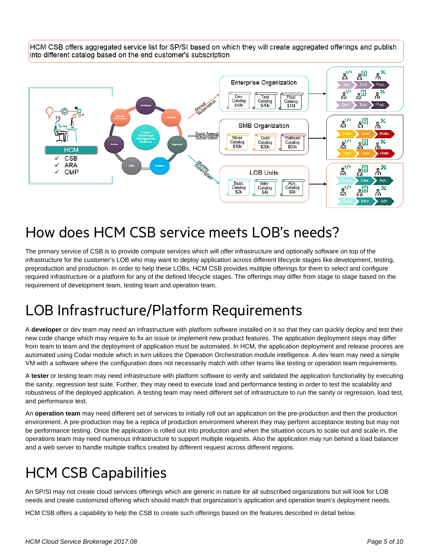HCM CSB offers aggregated service list for SP/SI based on which they will create aggregated offerings and publish into different catalog based on the end customer's subscription



### <span id="page-4-0"></span>How does HCM CSB service meets LOB's needs?

The primary service of CSB is to provide compute services which will offer infrastructure and optionally software on top of the infrastructure for the customer's LOB who may want to deploy application across different lifecycle stages like development, testing, preproduction and production. In order to help these LOBs, HCM CSB provides multiple offerings for them to select and configure required infrastructure or a platform for any of the defined lifecycle stages. The offerings may differ from stage to stage based on the requirement of development team, testing team and operation team.

## <span id="page-4-1"></span>LOB Infrastructure/Platform Requirements

A **developer** or dev team may need an infrastructure with platform software installed on it so that they can quickly deploy and test their new code change which may require to fix an issue or implement new product features. The application deployment steps may differ from team to team and the deployment of application must be automated. In HCM, the application deployment and release process are automated using Codar module which in turn utilizes the Operation Orchestration module intelligence. A dev team may need a simple VM with a software where the configuration does not necessarily match with other teams like testing or operation team requirements.

A **tester** or testing team may need infrastructure with platform software to verify and validated the application functionality by executing the sanity, regression test suite. Further, they may need to execute load and performance testing in order to test the scalability and robustness of the deployed application. A testing team may need different set of infrastructure to run the sanity or regression, load test, and performance test.

An **operation team** may need different set of services to initially roll out an application on the pre-production and then the production environment. A pre-production may be a replica of production environment wherein they may perform acceptance testing but may not be performance testing. Once the application is rolled out into production and when the situation occurs to scale out and scale in, the operations team may need numerous infrastructure to support multiple requests. Also the application may run behind a load balancer and a web server to handle multiple traffics created by different request across different regions.

## <span id="page-4-2"></span>HCM CSB Capabilities

An SP/SI may not create cloud services offerings which are generic in nature for all subscribed organizations but will look for LOB needs and create customized offering which should match that organization's application and operation team's deployment needs.

HCM CSB offers a capability to help the CSB to create such offerings based on the features described in detail below.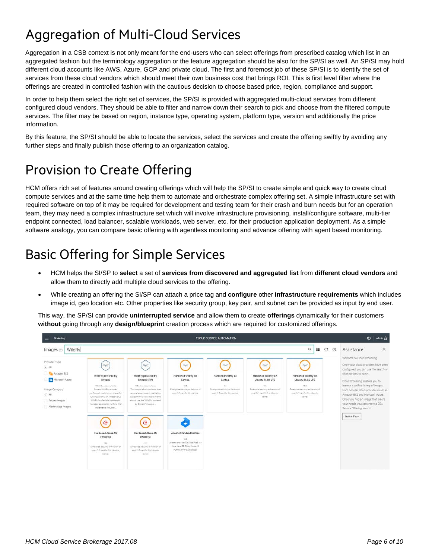## <span id="page-5-0"></span>Aggregation of Multi-Cloud Services

Aggregation in a CSB context is not only meant for the end-users who can select offerings from prescribed catalog which list in an aggregated fashion but the terminology aggregation or the feature aggregation should be also for the SP/SI as well. An SP/SI may hold different cloud accounts like AWS, Azure, GCP and private cloud. The first and foremost job of these SP/SI is to identify the set of services from these cloud vendors which should meet their own business cost that brings ROI. This is first level filter where the offerings are created in controlled fashion with the cautious decision to choose based price, region, compliance and support.

In order to help them select the right set of services, the SP/SI is provided with aggregated multi-cloud services from different configured cloud vendors. They should be able to filter and narrow down their search to pick and choose from the filtered compute services. The filter may be based on region, instance type, operating system, platform type, version and additionally the price information.

By this feature, the SP/SI should be able to locate the services, select the services and create the offering swiftly by avoiding any further steps and finally publish those offering to an organization catalog.

#### <span id="page-5-1"></span>Provision to Create Offering

HCM offers rich set of features around creating offerings which will help the SP/SI to create simple and quick way to create cloud compute services and at the same time help them to automate and orchestrate complex offering set. A simple infrastructure set with required software on top of it may be required for development and testing team for their crash and burn needs but for an operation team, they may need a complex infrastructure set which will involve infrastructure provisioning, install/configure software, multi-tier endpoint connected, load balancer, scalable workloads, web server, etc. for their production application deployment. As a simple software analogy, you can compare basic offering with agentless monitoring and advance offering with agent based monitoring.

### <span id="page-5-2"></span>Basic Offering for Simple Services

- HCM helps the SI/SP to **select** a set of **services from discovered and aggregated list** from **different cloud vendors** and allow them to directly add multiple cloud services to the offering.
- While creating an offering the SI/SP can attach a price tag and **configure** other **infrastructure requirements** which includes image id, geo location etc. Other properties like security group, key pair, and subnet can be provided as input by end user.

This way, the SP/SI can provide **uninterrupted service** and allow them to create **offerings** dynamically for their customers **without** going through any **design/blueprint** creation process which are required for customized offerings.

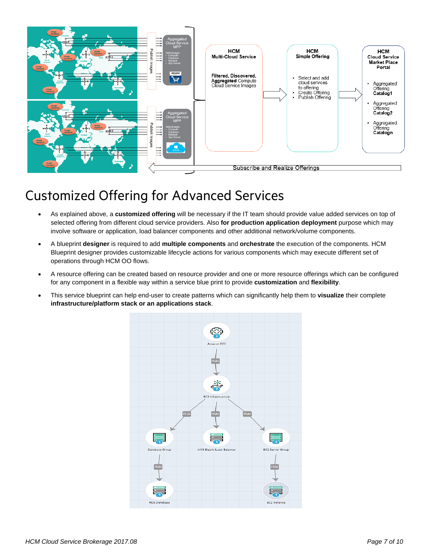

### <span id="page-6-0"></span>Customized Offering for Advanced Services

- As explained above, a **customized offering** will be necessary if the IT team should provide value added services on top of selected offering from different cloud service providers. Also **for production application deployment** purpose which may involve software or application, load balancer components and other additional network/volume components.
- A blueprint **designer** is required to add **multiple components** and **orchestrate** the execution of the components. HCM Blueprint designer provides customizable lifecycle actions for various components which may execute different set of operations through HCM OO flows.
- A resource offering can be created based on resource provider and one or more resource offerings which can be configured for any component in a flexible way within a service blue print to provide **customization** and **flexibility**.
- This service blueprint can help end-user to create patterns which can significantly help them to **visualize** their complete **infrastructure/platform stack or an applications stack**.

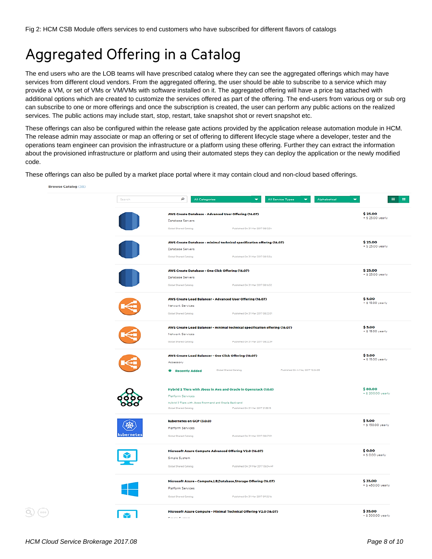## <span id="page-7-0"></span>Aggregated Offering in a Catalog

The end users who are the LOB teams will have prescribed catalog where they can see the aggregated offerings which may have services from different cloud vendors. From the aggregated offering, the user should be able to subscribe to a service which may provide a VM, or set of VMs or VM/VMs with software installed on it. The aggregated offering will have a price tag attached with additional options which are created to customize the services offered as part of the offering. The end-users from various org or sub org can subscribe to one or more offerings and once the subscription is created, the user can perform any public actions on the realized services. The public actions may include start, stop, restart, take snapshot shot or revert snapshot etc.

These offerings can also be configured within the release gate actions provided by the application release automation module in HCM. The release admin may associate or map an offering or set of offering to different lifecycle stage where a developer, tester and the operations team engineer can provision the infrastructure or a platform using these offering. Further they can extract the information about the provisioned infrastructure or platform and using their automated steps they can deploy the application or the newly modified code.

These offerings can also be pulled by a market place portal where it may contain cloud and non-cloud based offerings.

| vse Catalog (38) |            |                                                                             |                                              |
|------------------|------------|-----------------------------------------------------------------------------|----------------------------------------------|
|                  | Search     | م<br><b>All Categories</b><br>٠<br>All Service Types<br>٠<br>Alphabetical   | 1991<br>$\overline{\phantom{0}}$<br>$\equiv$ |
|                  |            | AWS Create Database - Advanced User Offering (16.07)                        | \$25.00                                      |
|                  |            | Database Servers                                                            | + \$ 25.00 yearly                            |
|                  |            | Global Shared Catalog<br>Published On 31 Mar 2017 08:12:34                  |                                              |
|                  |            | AWS Create Database - minimal technical specification offering (16.07)      | \$25.00                                      |
|                  |            | Database Servers                                                            | + \$ 25.00 yearly                            |
|                  |            | Global Shared Catalog<br>Published On 31 Mar 2017 08:15:54                  |                                              |
|                  |            | AWS Create Database - One Click Offering (16.07)                            | \$25.00                                      |
|                  |            | Database Servers                                                            | + \$ 25.00 yearly                            |
|                  |            | Global Shared Catalog<br>Published On 31 Mar 2017 081632                    |                                              |
|                  |            | AWS Create Load Balancer - Advanced User Offering (16.07)                   | \$5.00                                       |
|                  |            | Network Services                                                            | + \$ 15.00 yearly                            |
|                  |            | Global Shared Catalog<br>Published On 31 Mar 2017 08:22:01                  |                                              |
|                  |            | AWS Create Load Balancer - minimal technical specification offering (16.07) | \$5.00                                       |
|                  |            | Network Services                                                            | $+$ \$ 15.00 yearly                          |
|                  |            | Global Shared Catalog<br>Published On 31 Mar 2017 08:22:39                  |                                              |
|                  |            | AWS Create Load Balancer - One Click Offering (16.07)                       | \$5.00                                       |
|                  |            | Accessory                                                                   | + \$ 15.00 yearly                            |
|                  |            | Published On 4 May 2017 12:24:05<br>Global Shared Catalog<br>Recently Added |                                              |
|                  |            | Hybrid 2 Tiers with Jboss in Aws and Oracle in Openstack (1.0.0)            | \$80.00                                      |
|                  |            | Platform Services                                                           | + \$ 200.00 yearly                           |
|                  |            | Hybrid 2 Tiers with Jboss Front-end and Oracle Back-end                     |                                              |
|                  |            | Published On 31 Mar 2017 21:58:15<br>Global Shared Catalog                  |                                              |
|                  |            | kubernetes on GCP (3.0.0)                                                   | \$5.00<br>$+$ \$ 150.00 yearly               |
|                  |            | Platform Services                                                           |                                              |
|                  | cubernetes | Published On 31 Mar 2017 08:57:01<br>Global Shared Catalog                  |                                              |
|                  |            | Microsoft Azure Compute Advanced Offering V2.0 (16.07)                      | \$0.00                                       |
|                  |            | Simple System                                                               | + \$ 0.00 yearly                             |
|                  |            | Published On 29 Mar 2017 06:04:49<br>Global Shared Catalog                  |                                              |
|                  |            | Microsoft Azure - Compute,LB,Database,Storage Offering (16.07)              | \$35.00                                      |
|                  |            | Platform Services                                                           | + \$450.00 yearly                            |
|                  |            | Published On 31 Mar 2017 09:32:16<br>Global Shared Catalog                  |                                              |
|                  |            | Microsoft Azure Compute - Minimal Technical Offering V2.0 (16.07)           | \$35.00                                      |
|                  |            | Classic Continue                                                            | + S 300.00 yearly                            |
|                  |            |                                                                             |                                              |

 $\mathbb{Q}$ )  $(\circ \circ \circ)$ 

**Bro**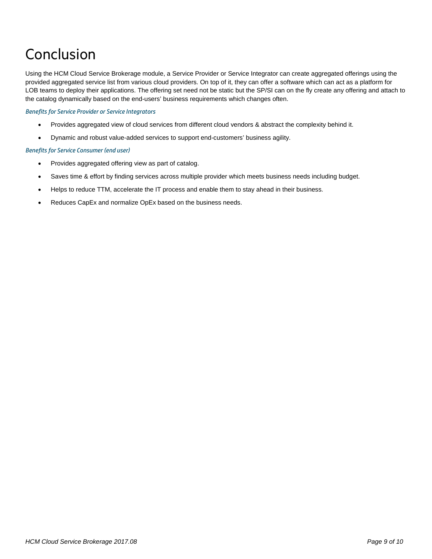## <span id="page-8-0"></span>Conclusion

Using the HCM Cloud Service Brokerage module, a Service Provider or Service Integrator can create aggregated offerings using the provided aggregated service list from various cloud providers. On top of it, they can offer a software which can act as a platform for LOB teams to deploy their applications. The offering set need not be static but the SP/SI can on the fly create any offering and attach to the catalog dynamically based on the end-users' business requirements which changes often.

#### *Benefits for Service Provider or Service Integrators*

- Provides aggregated view of cloud services from different cloud vendors & abstract the complexity behind it.
- Dynamic and robust value-added services to support end-customers' business agility.

#### *Benefits for Service Consumer (end user)*

- Provides aggregated offering view as part of catalog.
- Saves time & effort by finding services across multiple provider which meets business needs including budget.
- Helps to reduce TTM, accelerate the IT process and enable them to stay ahead in their business.
- Reduces CapEx and normalize OpEx based on the business needs.